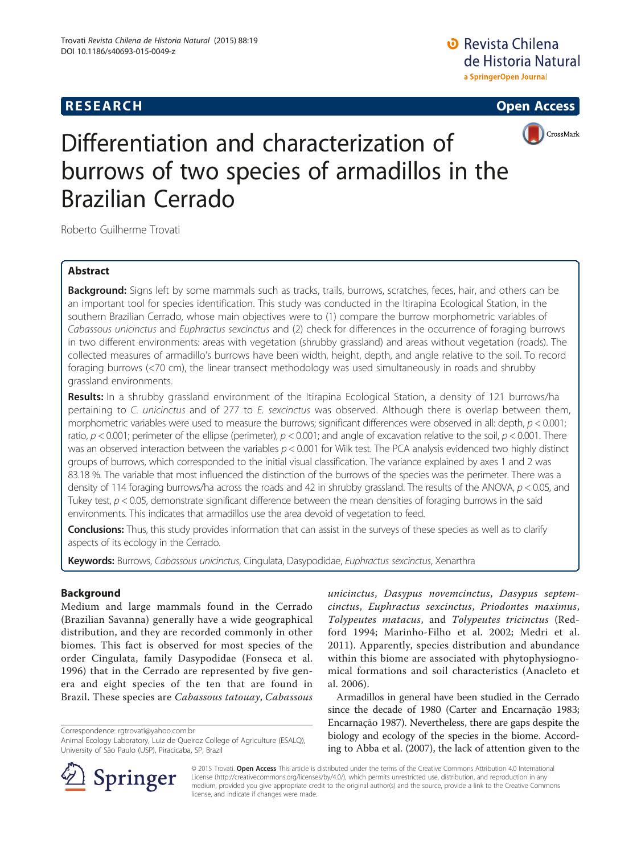## **RESEARCH RESEARCH CONSUMING ACCESS**





# Differentiation and characterization of burrows of two species of armadillos in the Brazilian Cerrado

Roberto Guilherme Trovati

## Abstract

Background: Signs left by some mammals such as tracks, trails, burrows, scratches, feces, hair, and others can be an important tool for species identification. This study was conducted in the Itirapina Ecological Station, in the southern Brazilian Cerrado, whose main objectives were to (1) compare the burrow morphometric variables of Cabassous unicinctus and Euphractus sexcinctus and (2) check for differences in the occurrence of foraging burrows in two different environments: areas with vegetation (shrubby grassland) and areas without vegetation (roads). The collected measures of armadillo's burrows have been width, height, depth, and angle relative to the soil. To record foraging burrows (<70 cm), the linear transect methodology was used simultaneously in roads and shrubby grassland environments.

Results: In a shrubby grassland environment of the Itirapina Ecological Station, a density of 121 burrows/ha pertaining to C. unicinctus and of 277 to E. sexcinctus was observed. Although there is overlap between them, morphometric variables were used to measure the burrows; significant differences were observed in all: depth,  $p < 0.001$ ; ratio,  $p < 0.001$ ; perimeter of the ellipse (perimeter),  $p < 0.001$ ; and angle of excavation relative to the soil,  $p < 0.001$ . There was an observed interaction between the variables  $p < 0.001$  for Wilk test. The PCA analysis evidenced two highly distinct groups of burrows, which corresponded to the initial visual classification. The variance explained by axes 1 and 2 was 83.18 %. The variable that most influenced the distinction of the burrows of the species was the perimeter. There was a density of 114 foraging burrows/ha across the roads and 42 in shrubby grassland. The results of the ANOVA,  $p < 0.05$ , and Tukey test,  $p < 0.05$ , demonstrate significant difference between the mean densities of foraging burrows in the said environments. This indicates that armadillos use the area devoid of vegetation to feed.

**Conclusions:** Thus, this study provides information that can assist in the surveys of these species as well as to clarify aspects of its ecology in the Cerrado.

Keywords: Burrows, Cabassous unicinctus, Cingulata, Dasypodidae, Euphractus sexcinctus, Xenarthra

## Background

Medium and large mammals found in the Cerrado (Brazilian Savanna) generally have a wide geographical distribution, and they are recorded commonly in other biomes. This fact is observed for most species of the order Cingulata, family Dasypodidae (Fonseca et al. [1996](#page-6-0)) that in the Cerrado are represented by five genera and eight species of the ten that are found in Brazil. These species are Cabassous tatouay, Cabassous

Correspondence: [rgtrovati@yahoo.com.br](mailto:rgtrovati@yahoo.com.br)

unicinctus, Dasypus novemcinctus, Dasypus septemcinctus, Euphractus sexcinctus, Priodontes maximus, Tolypeutes matacus, and Tolypeutes tricinctus (Redford [1994;](#page-6-0) Marinho-Filho et al. [2002](#page-6-0); Medri et al. [2011](#page-6-0)). Apparently, species distribution and abundance within this biome are associated with phytophysiognomical formations and soil characteristics (Anacleto et al. [2006\)](#page-6-0).

Armadillos in general have been studied in the Cerrado since the decade of 1980 (Carter and Encarnação [1983](#page-6-0); Encarnação [1987\)](#page-6-0). Nevertheless, there are gaps despite the biology and ecology of the species in the biome. According to Abba et al. [\(2007](#page-6-0)), the lack of attention given to the



© 2015 Trovati. Open Access This article is distributed under the terms of the Creative Commons Attribution 4.0 International License [\(http://creativecommons.org/licenses/by/4.0/](http://creativecommons.org/licenses/by/4.0/)), which permits unrestricted use, distribution, and reproduction in any medium, provided you give appropriate credit to the original author(s) and the source, provide a link to the Creative Commons license, and indicate if changes were made.

Animal Ecology Laboratory, Luiz de Queiroz College of Agriculture (ESALQ), University of São Paulo (USP), Piracicaba, SP, Brazil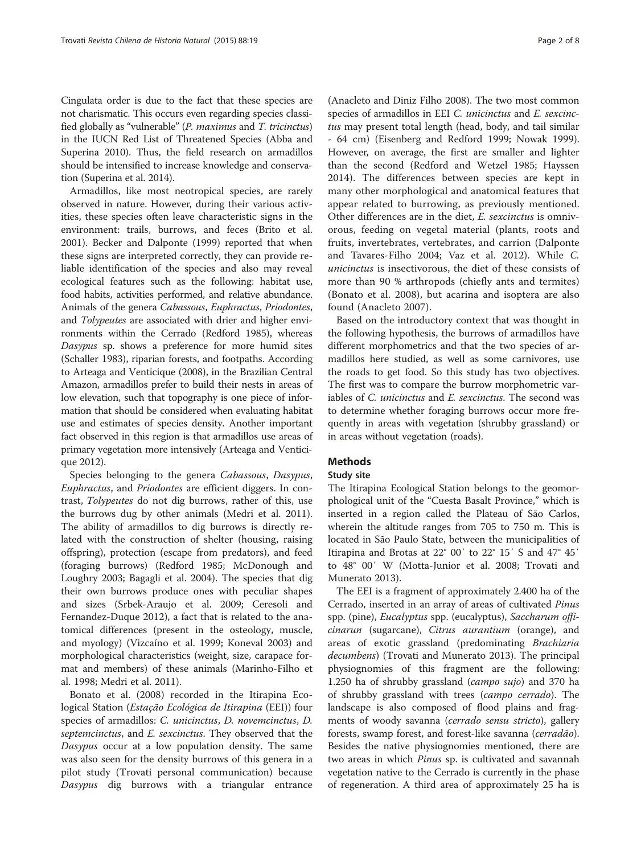Cingulata order is due to the fact that these species are not charismatic. This occurs even regarding species classified globally as "vulnerable" (P. maximus and T. tricinctus) in the IUCN Red List of Threatened Species (Abba and Superina [2010](#page-6-0)). Thus, the field research on armadillos should be intensified to increase knowledge and conservation (Superina et al. [2014](#page-6-0)).

Armadillos, like most neotropical species, are rarely observed in nature. However, during their various activities, these species often leave characteristic signs in the environment: trails, burrows, and feces (Brito et al. [2001](#page-6-0)). Becker and Dalponte [\(1999\)](#page-6-0) reported that when these signs are interpreted correctly, they can provide reliable identification of the species and also may reveal ecological features such as the following: habitat use, food habits, activities performed, and relative abundance. Animals of the genera Cabassous, Euphractus, Priodontes, and Tolypeutes are associated with drier and higher environments within the Cerrado (Redford [1985\)](#page-6-0), whereas Dasypus sp. shows a preference for more humid sites (Schaller [1983\)](#page-6-0), riparian forests, and footpaths. According to Arteaga and Venticique [\(2008](#page-6-0)), in the Brazilian Central Amazon, armadillos prefer to build their nests in areas of low elevation, such that topography is one piece of information that should be considered when evaluating habitat use and estimates of species density. Another important fact observed in this region is that armadillos use areas of primary vegetation more intensively (Arteaga and Venticique [2012](#page-6-0)).

Species belonging to the genera Cabassous, Dasypus, Euphractus, and Priodontes are efficient diggers. In contrast, Tolypeutes do not dig burrows, rather of this, use the burrows dug by other animals (Medri et al. [2011](#page-6-0)). The ability of armadillos to dig burrows is directly related with the construction of shelter (housing, raising offspring), protection (escape from predators), and feed (foraging burrows) (Redford [1985](#page-6-0); McDonough and Loughry [2003](#page-6-0); Bagagli et al. [2004\)](#page-6-0). The species that dig their own burrows produce ones with peculiar shapes and sizes (Srbek-Araujo et al. [2009](#page-6-0); Ceresoli and Fernandez-Duque [2012\)](#page-6-0), a fact that is related to the anatomical differences (present in the osteology, muscle, and myology) (Vizcaíno et al. [1999](#page-7-0); Koneval [2003](#page-6-0)) and morphological characteristics (weight, size, carapace format and members) of these animals (Marinho-Filho et al. [1998](#page-6-0); Medri et al. [2011\)](#page-6-0).

Bonato et al. ([2008\)](#page-6-0) recorded in the Itirapina Ecological Station (Estação Ecológica de Itirapina (EEI)) four species of armadillos: C. unicinctus, D. novemcinctus, D. septemcinctus, and *E. sexcinctus*. They observed that the Dasypus occur at a low population density. The same was also seen for the density burrows of this genera in a pilot study (Trovati personal communication) because Dasypus dig burrows with a triangular entrance

(Anacleto and Diniz Filho [2008](#page-6-0)). The two most common species of armadillos in EEI C. unicinctus and E. sexcinctus may present total length (head, body, and tail similar - 64 cm) (Eisenberg and Redford [1999;](#page-6-0) Nowak [1999](#page-6-0)). However, on average, the first are smaller and lighter than the second (Redford and Wetzel [1985](#page-6-0); Hayssen [2014\)](#page-6-0). The differences between species are kept in many other morphological and anatomical features that appear related to burrowing, as previously mentioned. Other differences are in the diet, E. sexcinctus is omnivorous, feeding on vegetal material (plants, roots and fruits, invertebrates, vertebrates, and carrion (Dalponte and Tavares-Filho [2004](#page-6-0); Vaz et al. [2012](#page-7-0)). While C.

unicinctus is insectivorous, the diet of these consists of more than 90 % arthropods (chiefly ants and termites) (Bonato et al. [2008](#page-6-0)), but acarina and isoptera are also found (Anacleto [2007\)](#page-6-0).

Based on the introductory context that was thought in the following hypothesis, the burrows of armadillos have different morphometrics and that the two species of armadillos here studied, as well as some carnivores, use the roads to get food. So this study has two objectives. The first was to compare the burrow morphometric variables of C. unicinctus and E. sexcinctus. The second was to determine whether foraging burrows occur more frequently in areas with vegetation (shrubby grassland) or in areas without vegetation (roads).

### **Methods**

#### Study site

The Itirapina Ecological Station belongs to the geomorphological unit of the "Cuesta Basalt Province," which is inserted in a region called the Plateau of São Carlos, wherein the altitude ranges from 705 to 750 m. This is located in São Paulo State, between the municipalities of Itirapina and Brotas at 22° 00′ to 22° 15′ S and 47° 45′ to 48° 00′ W (Motta-Junior et al. [2008;](#page-6-0) Trovati and Munerato [2013\)](#page-6-0).

The EEI is a fragment of approximately 2.400 ha of the Cerrado, inserted in an array of areas of cultivated Pinus spp. (pine), Eucalyptus spp. (eucalyptus), Saccharum officinarun (sugarcane), Citrus aurantium (orange), and areas of exotic grassland (predominating Brachiaria decumbens) (Trovati and Munerato [2013](#page-6-0)). The principal physiognomies of this fragment are the following: 1.250 ha of shrubby grassland (campo sujo) and 370 ha of shrubby grassland with trees (campo cerrado). The landscape is also composed of flood plains and fragments of woody savanna (cerrado sensu stricto), gallery forests, swamp forest, and forest-like savanna (cerradão). Besides the native physiognomies mentioned, there are two areas in which *Pinus* sp. is cultivated and savannah vegetation native to the Cerrado is currently in the phase of regeneration. A third area of approximately 25 ha is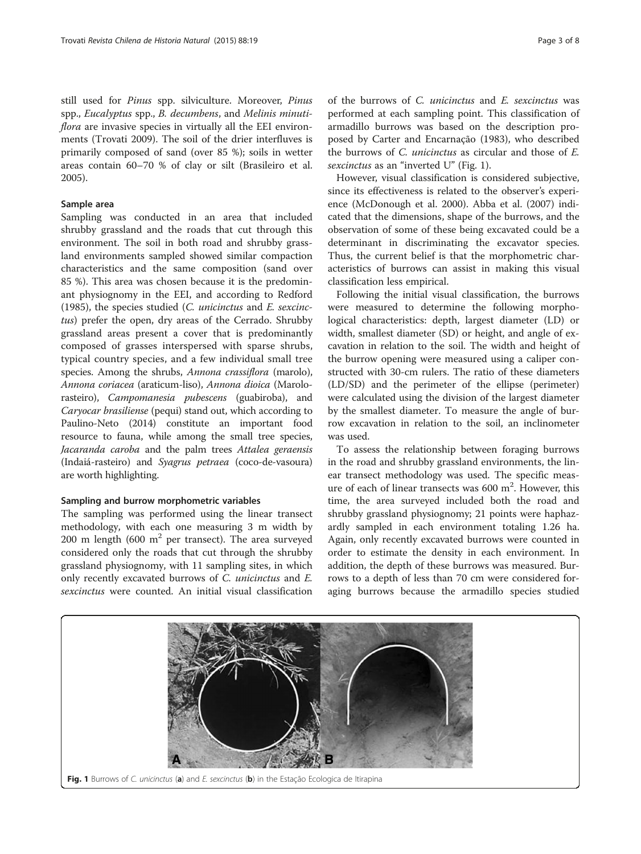<span id="page-2-0"></span>still used for Pinus spp. silviculture. Moreover, Pinus spp., Eucalyptus spp., B. decumbens, and Melinis minutiflora are invasive species in virtually all the EEI environments (Trovati [2009\)](#page-6-0). The soil of the drier interfluves is primarily composed of sand (over 85 %); soils in wetter areas contain 60–70 % of clay or silt (Brasileiro et al. [2005](#page-6-0)).

#### Sample area

Sampling was conducted in an area that included shrubby grassland and the roads that cut through this environment. The soil in both road and shrubby grassland environments sampled showed similar compaction characteristics and the same composition (sand over 85 %). This area was chosen because it is the predominant physiognomy in the EEI, and according to Redford ([1985](#page-6-0)), the species studied (C. unicinctus and E. sexcinctus) prefer the open, dry areas of the Cerrado. Shrubby grassland areas present a cover that is predominantly composed of grasses interspersed with sparse shrubs, typical country species, and a few individual small tree species. Among the shrubs, *Annona crassiflora* (marolo), Annona coriacea (araticum-liso), Annona dioica (Marolorasteiro), Campomanesia pubescens (guabiroba), and Caryocar brasiliense (pequi) stand out, which according to Paulino-Neto ([2014](#page-6-0)) constitute an important food resource to fauna, while among the small tree species, Jacaranda caroba and the palm trees Attalea geraensis (Indaiá-rasteiro) and Syagrus petraea (coco-de-vasoura) are worth highlighting.

#### Sampling and burrow morphometric variables

The sampling was performed using the linear transect methodology, with each one measuring 3 m width by 200 m length (600  $m<sup>2</sup>$  per transect). The area surveyed considered only the roads that cut through the shrubby grassland physiognomy, with 11 sampling sites, in which only recently excavated burrows of C. unicinctus and E. sexcinctus were counted. An initial visual classification

of the burrows of C. unicinctus and E. sexcinctus was performed at each sampling point. This classification of armadillo burrows was based on the description proposed by Carter and Encarnação ([1983](#page-6-0)), who described the burrows of C. unicinctus as circular and those of E. sexcinctus as an "inverted U" (Fig. 1).

However, visual classification is considered subjective, since its effectiveness is related to the observer's experience (McDonough et al. [2000](#page-6-0)). Abba et al. ([2007](#page-6-0)) indicated that the dimensions, shape of the burrows, and the observation of some of these being excavated could be a determinant in discriminating the excavator species. Thus, the current belief is that the morphometric characteristics of burrows can assist in making this visual classification less empirical.

Following the initial visual classification, the burrows were measured to determine the following morphological characteristics: depth, largest diameter (LD) or width, smallest diameter (SD) or height, and angle of excavation in relation to the soil. The width and height of the burrow opening were measured using a caliper constructed with 30-cm rulers. The ratio of these diameters (LD/SD) and the perimeter of the ellipse (perimeter) were calculated using the division of the largest diameter by the smallest diameter. To measure the angle of burrow excavation in relation to the soil, an inclinometer was used.

To assess the relationship between foraging burrows in the road and shrubby grassland environments, the linear transect methodology was used. The specific measure of each of linear transects was  $600 \text{ m}^2$ . However, this time, the area surveyed included both the road and shrubby grassland physiognomy; 21 points were haphazardly sampled in each environment totaling 1.26 ha. Again, only recently excavated burrows were counted in order to estimate the density in each environment. In addition, the depth of these burrows was measured. Burrows to a depth of less than 70 cm were considered foraging burrows because the armadillo species studied

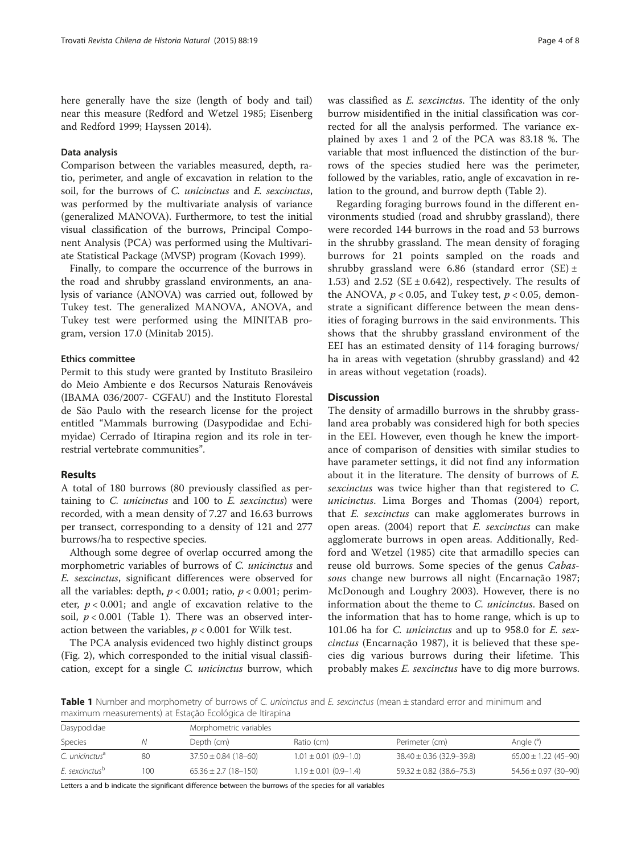here generally have the size (length of body and tail) near this measure (Redford and Wetzel [1985](#page-6-0); Eisenberg and Redford [1999;](#page-6-0) Hayssen [2014](#page-6-0)).

#### Data analysis

Comparison between the variables measured, depth, ratio, perimeter, and angle of excavation in relation to the soil, for the burrows of C. unicinctus and E. sexcinctus, was performed by the multivariate analysis of variance (generalized MANOVA). Furthermore, to test the initial visual classification of the burrows, Principal Component Analysis (PCA) was performed using the Multivariate Statistical Package (MVSP) program (Kovach [1999\)](#page-6-0).

Finally, to compare the occurrence of the burrows in the road and shrubby grassland environments, an analysis of variance (ANOVA) was carried out, followed by Tukey test. The generalized MANOVA, ANOVA, and Tukey test were performed using the MINITAB program, version 17.0 (Minitab [2015\)](#page-6-0).

#### Ethics committee

Permit to this study were granted by Instituto Brasileiro do Meio Ambiente e dos Recursos Naturais Renováveis (IBAMA 036/2007- CGFAU) and the Instituto Florestal de São Paulo with the research license for the project entitled "Mammals burrowing (Dasypodidae and Echimyidae) Cerrado of Itirapina region and its role in terrestrial vertebrate communities".

#### Results

A total of 180 burrows (80 previously classified as pertaining to  $C$ . *unicinctus* and  $100$  to  $E$ . *sexcinctus*) were recorded, with a mean density of 7.27 and 16.63 burrows per transect, corresponding to a density of 121 and 277 burrows/ha to respective species.

Although some degree of overlap occurred among the morphometric variables of burrows of *C. unicinctus* and E. sexcinctus, significant differences were observed for all the variables: depth,  $p < 0.001$ ; ratio,  $p < 0.001$ ; perimeter,  $p < 0.001$ ; and angle of excavation relative to the soil,  $p < 0.001$  (Table 1). There was an observed interaction between the variables,  $p < 0.001$  for Wilk test.

The PCA analysis evidenced two highly distinct groups (Fig. [2\)](#page-4-0), which corresponded to the initial visual classification, except for a single C. unicinctus burrow, which

was classified as *E. sexcinctus*. The identity of the only burrow misidentified in the initial classification was corrected for all the analysis performed. The variance explained by axes 1 and 2 of the PCA was 83.18 %. The variable that most influenced the distinction of the burrows of the species studied here was the perimeter, followed by the variables, ratio, angle of excavation in relation to the ground, and burrow depth (Table [2\)](#page-4-0).

Regarding foraging burrows found in the different environments studied (road and shrubby grassland), there were recorded 144 burrows in the road and 53 burrows in the shrubby grassland. The mean density of foraging burrows for 21 points sampled on the roads and shrubby grassland were 6.86 (standard error  $(SE) \pm$ 1.53) and 2.52 ( $SE \pm 0.642$ ), respectively. The results of the ANOVA,  $p < 0.05$ , and Tukey test,  $p < 0.05$ , demonstrate a significant difference between the mean densities of foraging burrows in the said environments. This shows that the shrubby grassland environment of the EEI has an estimated density of 114 foraging burrows/ ha in areas with vegetation (shrubby grassland) and 42 in areas without vegetation (roads).

#### **Discussion**

The density of armadillo burrows in the shrubby grassland area probably was considered high for both species in the EEI. However, even though he knew the importance of comparison of densities with similar studies to have parameter settings, it did not find any information about it in the literature. The density of burrows of E. sexcinctus was twice higher than that registered to C. unicinctus. Lima Borges and Thomas [\(2004](#page-6-0)) report, that E. sexcinctus can make agglomerates burrows in open areas.  $(2004)$  report that  $E$ . sexcinctus can make agglomerate burrows in open areas. Additionally, Redford and Wetzel [\(1985](#page-6-0)) cite that armadillo species can reuse old burrows. Some species of the genus Cabassous change new burrows all night (Encarnação [1987](#page-6-0); McDonough and Loughry [2003](#page-6-0)). However, there is no information about the theme to C. unicinctus. Based on the information that has to home range, which is up to 101.06 ha for C. unicinctus and up to 958.0 for E. sexcinctus (Encarnação [1987\)](#page-6-0), it is believed that these species dig various burrows during their lifetime. This probably makes *E. sexcinctus* have to dig more burrows.

Table 1 Number and morphometry of burrows of C. unicinctus and E. sexcinctus (mean ± standard error and minimum and maximum measurements) at Estação Ecológica de Itirapina

| Dasypodidae                |     | Morphometric variables   |                           |                              |                          |
|----------------------------|-----|--------------------------|---------------------------|------------------------------|--------------------------|
| Species                    |     | Depth (cm)               | Ratio (cm)                | Perimeter (cm)               | Angle $(°)$              |
| C. unicinctus <sup>a</sup> | 80  | $37.50 \pm 0.84$ (18-60) | $1.01 \pm 0.01$ (0.9-1.0) | $38.40 \pm 0.36$ (32.9-39.8) | $65.00 \pm 1.22$ (45-90) |
| E. sexcinctus <sup>p</sup> | 100 | $65.36 \pm 2.7$ (18-150) | $1.19 \pm 0.01$ (0.9-1.4) | $59.32 \pm 0.82$ (38.6-75.3) | $54.56 \pm 0.97$ (30-90) |

Letters a and b indicate the significant difference between the burrows of the species for all variables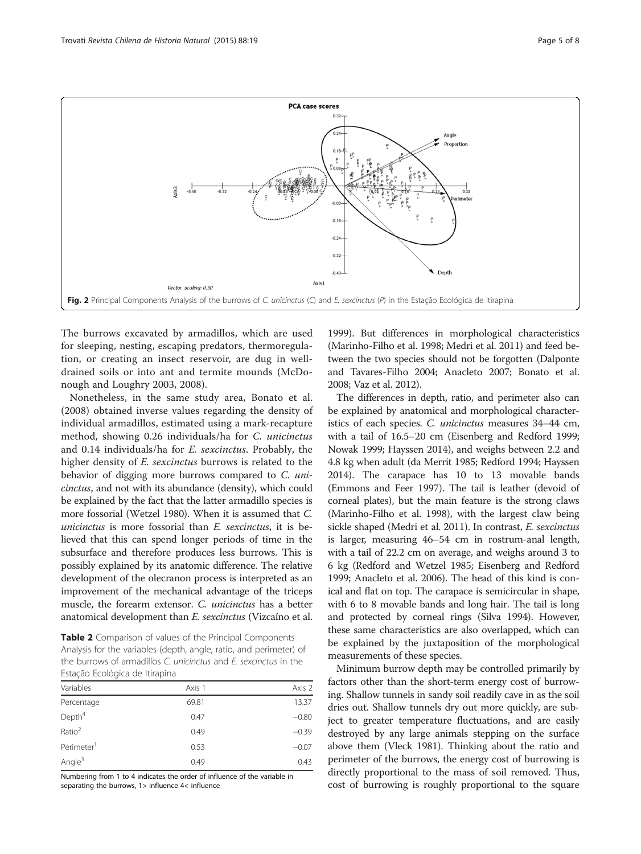

<span id="page-4-0"></span>

The burrows excavated by armadillos, which are used for sleeping, nesting, escaping predators, thermoregulation, or creating an insect reservoir, are dug in welldrained soils or into ant and termite mounds (McDonough and Loughry [2003](#page-6-0), [2008](#page-6-0)).

Nonetheless, in the same study area, Bonato et al. ([2008](#page-6-0)) obtained inverse values regarding the density of individual armadillos, estimated using a mark-recapture method, showing 0.26 individuals/ha for C. unicinctus and 0.14 individuals/ha for E. sexcinctus. Probably, the higher density of E. sexcinctus burrows is related to the behavior of digging more burrows compared to C. unicinctus, and not with its abundance (density), which could be explained by the fact that the latter armadillo species is more fossorial (Wetzel [1980\)](#page-7-0). When it is assumed that C. unicinctus is more fossorial than E. sexcinctus, it is believed that this can spend longer periods of time in the subsurface and therefore produces less burrows. This is possibly explained by its anatomic difference. The relative development of the olecranon process is interpreted as an improvement of the mechanical advantage of the triceps muscle, the forearm extensor. C. unicinctus has a better anatomical development than E. sexcinctus (Vizcaíno et al.

Table 2 Comparison of values of the Principal Components Analysis for the variables (depth, angle, ratio, and perimeter) of the burrows of armadillos C. unicinctus and E. sexcinctus in the Estação Ecológica de Itirapina

| Variables              | Axis 1 | Axis 2  |
|------------------------|--------|---------|
| Percentage             | 69.81  | 13.37   |
| Depth <sup>4</sup>     | 0.47   | $-0.80$ |
| Ratio <sup>2</sup>     | 0.49   | $-0.39$ |
| Perimeter <sup>1</sup> | 0.53   | $-0.07$ |
| Angle <sup>3</sup>     | 0.49   | 0.43    |

Numbering from 1 to 4 indicates the order of influence of the variable in separating the burrows, 1> influence 4< influence

[1999\)](#page-7-0). But differences in morphological characteristics (Marinho-Filho et al. [1998](#page-6-0); Medri et al. [2011](#page-6-0)) and feed between the two species should not be forgotten (Dalponte and Tavares-Filho [2004;](#page-6-0) Anacleto [2007;](#page-6-0) Bonato et al. [2008;](#page-6-0) Vaz et al. [2012\)](#page-7-0).

The differences in depth, ratio, and perimeter also can be explained by anatomical and morphological characteristics of each species. C. unicinctus measures 34–44 cm, with a tail of 16.5–20 cm (Eisenberg and Redford [1999](#page-6-0); Nowak [1999](#page-6-0); Hayssen [2014](#page-6-0)), and weighs between 2.2 and 4.8 kg when adult (da Merrit [1985;](#page-6-0) Redford [1994;](#page-6-0) Hayssen [2014\)](#page-6-0). The carapace has 10 to 13 movable bands (Emmons and Feer [1997\)](#page-6-0). The tail is leather (devoid of corneal plates), but the main feature is the strong claws (Marinho-Filho et al. [1998](#page-6-0)), with the largest claw being sickle shaped (Medri et al. [2011\)](#page-6-0). In contrast, E. sexcinctus is larger, measuring 46–54 cm in rostrum-anal length, with a tail of 22.2 cm on average, and weighs around 3 to 6 kg (Redford and Wetzel [1985;](#page-6-0) Eisenberg and Redford [1999;](#page-6-0) Anacleto et al. [2006\)](#page-6-0). The head of this kind is conical and flat on top. The carapace is semicircular in shape, with 6 to 8 movable bands and long hair. The tail is long and protected by corneal rings (Silva [1994](#page-6-0)). However, these same characteristics are also overlapped, which can be explained by the juxtaposition of the morphological measurements of these species.

Minimum burrow depth may be controlled primarily by factors other than the short-term energy cost of burrowing. Shallow tunnels in sandy soil readily cave in as the soil dries out. Shallow tunnels dry out more quickly, are subject to greater temperature fluctuations, and are easily destroyed by any large animals stepping on the surface above them (Vleck [1981\)](#page-7-0). Thinking about the ratio and perimeter of the burrows, the energy cost of burrowing is directly proportional to the mass of soil removed. Thus, cost of burrowing is roughly proportional to the square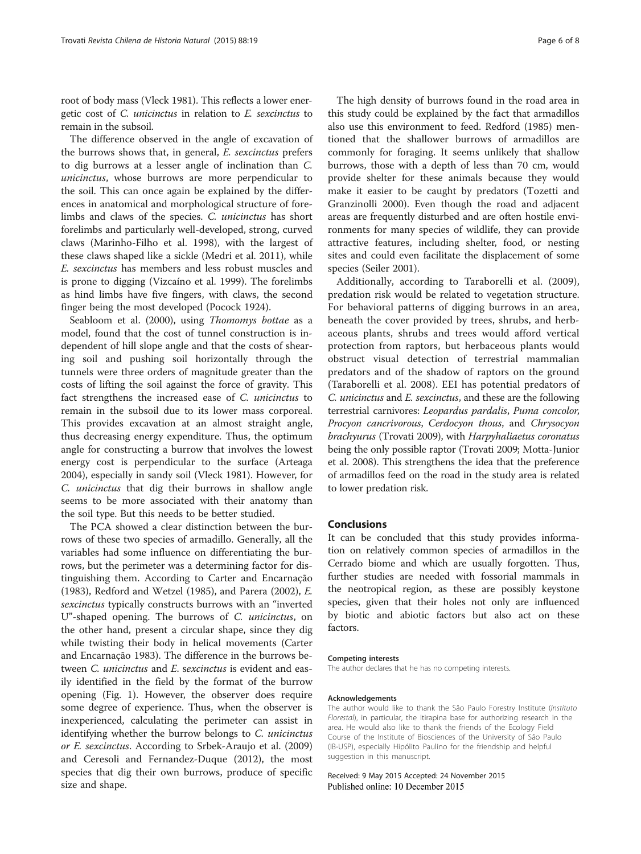root of body mass (Vleck [1981\)](#page-7-0). This reflects a lower energetic cost of C. unicinctus in relation to E. sexcinctus to remain in the subsoil.

The difference observed in the angle of excavation of the burrows shows that, in general, E. sexcinctus prefers to dig burrows at a lesser angle of inclination than C. unicinctus, whose burrows are more perpendicular to the soil. This can once again be explained by the differences in anatomical and morphological structure of forelimbs and claws of the species. C. unicinctus has short forelimbs and particularly well-developed, strong, curved claws (Marinho-Filho et al. [1998\)](#page-6-0), with the largest of these claws shaped like a sickle (Medri et al. [2011\)](#page-6-0), while E. sexcinctus has members and less robust muscles and is prone to digging (Vizcaíno et al. [1999\)](#page-7-0). The forelimbs as hind limbs have five fingers, with claws, the second finger being the most developed (Pocock [1924\)](#page-6-0).

Seabloom et al. [\(2000](#page-6-0)), using *Thomomys bottae* as a model, found that the cost of tunnel construction is independent of hill slope angle and that the costs of shearing soil and pushing soil horizontally through the tunnels were three orders of magnitude greater than the costs of lifting the soil against the force of gravity. This fact strengthens the increased ease of C. unicinctus to remain in the subsoil due to its lower mass corporeal. This provides excavation at an almost straight angle, thus decreasing energy expenditure. Thus, the optimum angle for constructing a burrow that involves the lowest energy cost is perpendicular to the surface (Arteaga [2004](#page-6-0)), especially in sandy soil (Vleck [1981\)](#page-7-0). However, for C. unicinctus that dig their burrows in shallow angle seems to be more associated with their anatomy than the soil type. But this needs to be better studied.

The PCA showed a clear distinction between the burrows of these two species of armadillo. Generally, all the variables had some influence on differentiating the burrows, but the perimeter was a determining factor for distinguishing them. According to Carter and Encarnação ([1983](#page-6-0)), Redford and Wetzel [\(1985](#page-6-0)), and Parera ([2002\)](#page-6-0), E. sexcinctus typically constructs burrows with an "inverted U"-shaped opening. The burrows of C. unicinctus, on the other hand, present a circular shape, since they dig while twisting their body in helical movements (Carter and Encarnação [1983](#page-6-0)). The difference in the burrows between *C. unicinctus* and *E. sexcinctus* is evident and easily identified in the field by the format of the burrow opening (Fig. [1](#page-2-0)). However, the observer does require some degree of experience. Thus, when the observer is inexperienced, calculating the perimeter can assist in identifying whether the burrow belongs to C. *unicinctus* or E. sexcinctus. According to Srbek-Araujo et al. ([2009](#page-6-0)) and Ceresoli and Fernandez-Duque [\(2012](#page-6-0)), the most species that dig their own burrows, produce of specific size and shape.

The high density of burrows found in the road area in this study could be explained by the fact that armadillos also use this environment to feed. Redford [\(1985](#page-6-0)) mentioned that the shallower burrows of armadillos are commonly for foraging. It seems unlikely that shallow burrows, those with a depth of less than 70 cm, would provide shelter for these animals because they would make it easier to be caught by predators (Tozetti and Granzinolli [2000](#page-6-0)). Even though the road and adjacent areas are frequently disturbed and are often hostile environments for many species of wildlife, they can provide attractive features, including shelter, food, or nesting sites and could even facilitate the displacement of some species (Seiler [2001\)](#page-6-0).

Additionally, according to Taraborelli et al. ([2009](#page-6-0)), predation risk would be related to vegetation structure. For behavioral patterns of digging burrows in an area, beneath the cover provided by trees, shrubs, and herbaceous plants, shrubs and trees would afford vertical protection from raptors, but herbaceous plants would obstruct visual detection of terrestrial mammalian predators and of the shadow of raptors on the ground (Taraborelli et al. [2008\)](#page-6-0). EEI has potential predators of C. unicinctus and E. sexcinctus, and these are the following terrestrial carnivores: Leopardus pardalis, Puma concolor, Procyon cancrivorous, Cerdocyon thous, and Chrysocyon brachyurus (Trovati [2009\)](#page-6-0), with Harpyhaliaetus coronatus being the only possible raptor (Trovati [2009;](#page-6-0) Motta-Junior et al. [2008\)](#page-6-0). This strengthens the idea that the preference of armadillos feed on the road in the study area is related to lower predation risk.

#### Conclusions

It can be concluded that this study provides information on relatively common species of armadillos in the Cerrado biome and which are usually forgotten. Thus, further studies are needed with fossorial mammals in the neotropical region, as these are possibly keystone species, given that their holes not only are influenced by biotic and abiotic factors but also act on these factors.

#### Competing interests

The author declares that he has no competing interests.

#### Acknowledgements

The author would like to thank the São Paulo Forestry Institute (Instituto Florestal), in particular, the Itirapina base for authorizing research in the area. He would also like to thank the friends of the Ecology Field Course of the Institute of Biosciences of the University of São Paulo (IB-USP), especially Hipólito Paulino for the friendship and helpful suggestion in this manuscript.

Received: 9 May 2015 Accepted: 24 November 2015 Published online: 10 December 2015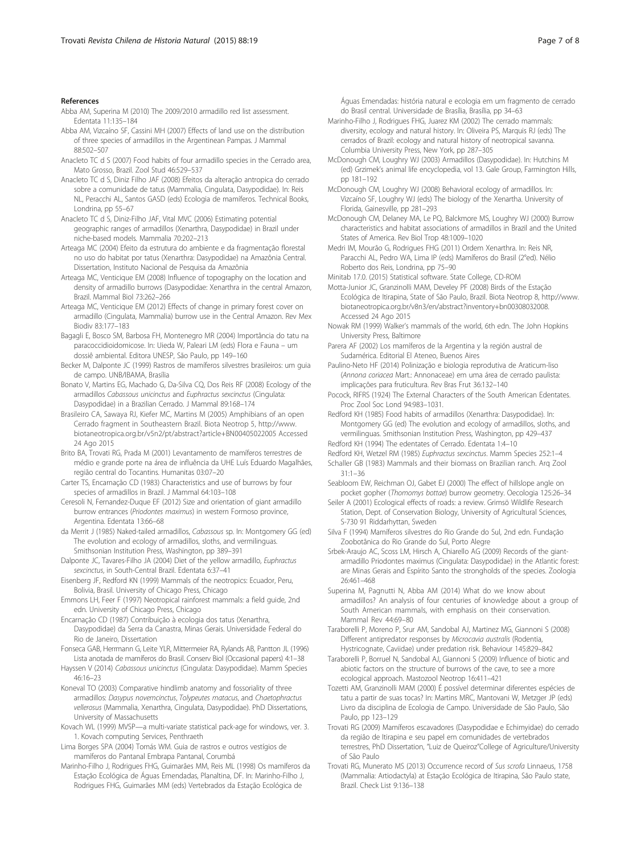#### <span id="page-6-0"></span>**References**

Abba AM, Superina M (2010) The 2009/2010 armadillo red list assessment. Edentata 11:135–184

Abba AM, Vizcaíno SF, Cassini MH (2007) Effects of land use on the distribution of three species of armadillos in the Argentinean Pampas. J Mammal 88:502–507

- Anacleto TC d S (2007) Food habits of four armadillo species in the Cerrado area, Mato Grosso, Brazil. Zool Stud 46:529–537
- Anacleto TC d S, Diniz Filho JAF (2008) Efeitos da alteração antropica do cerrado sobre a comunidade de tatus (Mammalia, Cingulata, Dasypodidae). In: Reis NL, Peracchi AL, Santos GASD (eds) Ecologia de mamíferos. Technical Books, Londrina, pp 55–67
- Anacleto TC d S, Diniz-Filho JAF, Vital MVC (2006) Estimating potential geographic ranges of armadillos (Xenarthra, Dasypodidae) in Brazil under niche-based models. Mammalia 70:202–213
- Arteaga MC (2004) Efeito da estrutura do ambiente e da fragmentação florestal no uso do habitat por tatus (Xenarthra: Dasypodidae) na Amazônia Central. Dissertation, Instituto Nacional de Pesquisa da Amazônia
- Arteaga MC, Venticique EM (2008) Influence of topography on the location and density of armadillo burrows (Dasypodidae: Xenarthra in the central Amazon, Brazil. Mammal Biol 73:262–266
- Arteaga MC, Venticique EM (2012) Effects of change in primary forest cover on armadillo (Cingulata, Mammalia) burrow use in the Central Amazon. Rev Mex Biodiv 83:177–183
- Bagagli E, Bosco SM, Barbosa FH, Montenegro MR (2004) Importância do tatu na paracoccidioidomicose. In: Uieda W, Paleari LM (eds) Flora e Fauna – um dossiê ambiental. Editora UNESP, São Paulo, pp 149–160
- Becker M, Dalponte JC (1999) Rastros de mamíferos silvestres brasileiros: um guia de campo. UNB/IBAMA, Brasília
- Bonato V, Martins EG, Machado G, Da-Silva CQ, Dos Reis RF (2008) Ecology of the armadillos Cabassous unicinctus and Euphractus sexcinctus (Cingulata: Dasypodidae) in a Brazilian Cerrado. J Mammal 89:168–174
- Brasileiro CA, Sawaya RJ, Kiefer MC, Martins M (2005) Amphibians of an open Cerrado fragment in Southeastern Brazil. Biota Neotrop 5, [http://www.](http://www.biotaneotropica.org.br/v5n2/pt/abstract?article+BN00405022005) [biotaneotropica.org.br/v5n2/pt/abstract?article+BN00405022005](http://www.biotaneotropica.org.br/v5n2/pt/abstract?article+BN00405022005) Accessed 24 Ago 2015
- Brito BA, Trovati RG, Prada M (2001) Levantamento de mamíferos terrestres de médio e grande porte na área de influência da UHE Luís Eduardo Magalhães, região central do Tocantins. Humanitas 03:07–20
- Carter TS, Encarnação CD (1983) Characteristics and use of burrows by four species of armadillos in Brazil. J Mammal 64:103–108
- Ceresoli N, Fernandez-Duque EF (2012) Size and orientation of giant armadillo burrow entrances (Priodontes maximus) in western Formoso province, Argentina. Edentata 13:66–68
- da Merrit J (1985) Naked-tailed armadillos, Cabassous sp. In: Montgomery GG (ed) The evolution and ecology of armadillos, sloths, and vermilinguas. Smithsonian Institution Press, Washington, pp 389–391
- Dalponte JC, Tavares-Filho JA (2004) Diet of the yellow armadillo, Euphractus sexcinctus, in South-Central Brazil. Edentata 6:37–41
- Eisenberg JF, Redford KN (1999) Mammals of the neotropics: Ecuador, Peru, Bolivia, Brasil. University of Chicago Press, Chicago
- Emmons LH, Feer F (1997) Neotropical rainforest mammals: a field guide, 2nd edn. University of Chicago Press, Chicago
- Encarnação CD (1987) Contribuição à ecologia dos tatus (Xenarthra, Dasypodidae) da Serra da Canastra, Minas Gerais. Universidade Federal do Rio de Janeiro, Dissertation
- Fonseca GAB, Herrmann G, Leite YLR, Mittermeier RA, Rylands AB, Pantton JL (1996) Lista anotada de mamíferos do Brasil. Conserv Biol (Occasional papers) 4:1–38
- Hayssen V (2014) Cabassous unicinctus (Cingulata: Dasypodidae). Mamm Species 46:16–23
- Koneval TO (2003) Comparative hindlimb anatomy and fossoriality of three armadillos: Dasypus novemcinctus, Tolypeutes matacus, and Chaetophractus vellerosus (Mammalia, Xenarthra, Cingulata, Dasypodidae). PhD Dissertations, University of Massachusetts
- Kovach WL (1999) MVSP—a multi-variate statistical pack-age for windows, ver. 3. 1. Kovach computing Services, Penthraeth
- Lima Borges SPA (2004) Tomás WM. Guia de rastros e outros vestígios de mamíferos do Pantanal Embrapa Pantanal, Corumbá
- Marinho-Filho J, Rodrigues FHG, Guimarães MM, Reis ML (1998) Os mamíferos da Estação Ecológica de Águas Emendadas, Planaltina, DF. In: Marinho-Filho J, Rodrigues FHG, Guimarães MM (eds) Vertebrados da Estação Ecológica de

Águas Emendadas: história natural e ecologia em um fragmento de cerrado do Brasil central. Universidade de Brasília, Brasília, pp 34–63

- Marinho-Filho J, Rodrigues FHG, Juarez KM (2002) The cerrado mammals: diversity, ecology and natural history. In: Oliveira PS, Marquis RJ (eds) The cerrados of Brazil: ecology and natural history of neotropical savanna. Columbia University Press, New York, pp 287–305
- McDonough CM, Loughry WJ (2003) Armadillos (Dasypodidae). In: Hutchins M (ed) Grzimek's animal life encyclopedia, vol 13. Gale Group, Farmington Hills, pp 181–192
- McDonough CM, Loughry WJ (2008) Behavioral ecology of armadillos. In: Vizcaíno SF, Loughry WJ (eds) The biology of the Xenartha. University of Florida, Gainesville, pp 281–293
- McDonough CM, Delaney MA, Le PQ, Balckmore MS, Loughry WJ (2000) Burrow characteristics and habitat associations of armadillos in Brazil and the United States of America. Rev Biol Trop 48:1009–1020
- Medri IM, Mourão G, Rodrigues FHG (2011) Ordem Xenarthra. In: Reis NR, Paracchi AL, Pedro WA, Lima IP (eds) Mamíferos do Brasil (2°ed). Nélio Roberto dos Reis, Londrina, pp 75–90
- Minitab 17.0. (2015) Statistical software. State College, CD-ROM
- Motta-Junior JC, Granzinolli MAM, Develey PF (2008) Birds of the Estação Ecológica de Itirapina, State of São Paulo, Brazil. Biota Neotrop 8, [http://www.](http://www.biotaneotropica.org.br/v8n3/en/abstract?inventory+bn00308032008) [biotaneotropica.org.br/v8n3/en/abstract?inventory+bn00308032008](http://www.biotaneotropica.org.br/v8n3/en/abstract?inventory+bn00308032008). Accessed 24 Ago 2015
- Nowak RM (1999) Walker's mammals of the world, 6th edn. The John Hopkins University Press, Baltimore
- Parera AF (2002) Los mamíferos de la Argentina y la región austral de Sudamérica. Editorial El Ateneo, Buenos Aires
- Paulino-Neto HF (2014) Polinização e biologia reprodutiva de Araticum-liso (Annona coriacea Mart.: Annonaceae) em uma área de cerrado paulista: implicações para fruticultura. Rev Bras Frut 36:132–140
- Pocock, RIFRS (1924) The External Characters of the South American Edentates. Proc Zool Soc Lond 94:983–1031.
- Redford KH (1985) Food habits of armadillos (Xenarthra: Dasypodidae). In: Montgomery GG (ed) The evolution and ecology of armadillos, sloths, and vermilinguas. Smithsonian Institution Press, Washington, pp 429–437
- Redford KH (1994) The edentates of Cerrado. Edentata 1:4–10
- Redford KH, Wetzel RM (1985) Euphractus sexcinctus. Mamm Species 252:1–4 Schaller GB (1983) Mammals and their biomass on Brazilian ranch. Arq Zool 31:1–36
- Seabloom EW, Reichman OJ, Gabet EJ (2000) The effect of hillslope angle on pocket gopher (Thomomys bottae) burrow geometry. Oecologia 125:26–34
- Seiler A (2001) Ecological effects of roads: a review. Grimsö Wildlife Research Station, Dept. of Conservation Biology, University of Agricultural Sciences, S-730 91 Riddarhyttan, Sweden
- Silva F (1994) Mamíferos silvestres do Rio Grande do Sul, 2nd edn. Fundação Zoobotânica do Rio Grande do Sul, Porto Alegre
- Srbek-Araujo AC, Scoss LM, Hirsch A, Chiarello AG (2009) Records of the giantarmadillo Priodontes maximus (Cingulata: Dasypodidae) in the Atlantic forest: are Minas Gerais and Espírito Santo the strongholds of the species. Zoologia 26:461–468
- Superina M, Pagnutti N, Abba AM (2014) What do we know about armadillos? An analysis of four centuries of knowledge about a group of South American mammals, with emphasis on their conservation. Mammal Rev 44:69–80
- Taraborelli P, Moreno P, Srur AM, Sandobal AJ, Martinez MG, Giannoni S (2008) Different antipredator responses by Microcavia australis (Rodentia, Hystricognate, Caviidae) under predation risk. Behaviour 145:829–842
- Taraborelli P, Borruel N, Sandobal AJ, Giannoni S (2009) Influence of biotic and abiotic factors on the structure of burrows of the cave, to see a more ecological approach. Mastozool Neotrop 16:411–421
- Tozetti AM, Granzinolli MAM (2000) É possível determinar diferentes espécies de tatu a partir de suas tocas? In: Martins MRC, Mantovani W, Metzger JP (eds) Livro da disciplina de Ecologia de Campo. Universidade de São Paulo, São Paulo, pp 123–129
- Trovati RG (2009) Mamíferos escavadores (Dasypodidae e Echimyidae) do cerrado da região de Itirapina e seu papel em comunidades de vertebrados terrestres, PhD Dissertation, "Luiz de Queiroz"College of Agriculture/University of São Paulo
- Trovati RG, Munerato MS (2013) Occurrence record of Sus scrofa Linnaeus, 1758 (Mammalia: Artiodactyla) at Estação Ecológica de Itirapina, São Paulo state, Brazil. Check List 9:136–138